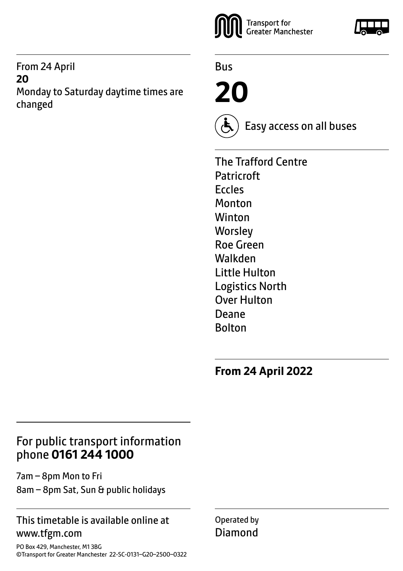From 24 April **20** Monday to Saturday daytime times are changed



Bus

**20**



Easy access on all buses

The Trafford Centre Patricroft Eccles Monton Winton **Worsley** Roe Green Walkden Little Hulton Logistics North Over Hulton Deane Bolton

**From 24 April 2022**

# For public transport information phone **0161 244 1000**

7am – 8pm Mon to Fri 8am – 8pm Sat, Sun & public holidays

### This timetable is available online at www.tfgm.com

PO Box 429, Manchester, M1 3BG ©Transport for Greater Manchester 22-SC-0131–G20–2500–0322 Operated by Diamond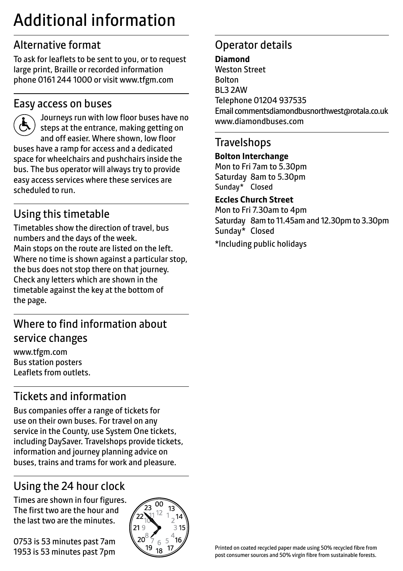# Additional information

# Alternative format

To ask for leaflets to be sent to you, or to request large print, Braille or recorded information phone 0161 244 1000 or visit www.tfgm.com

### Easy access on buses



 Journeys run with low floor buses have no steps at the entrance, making getting on and off easier. Where shown, low floor buses have a ramp for access and a dedicated space for wheelchairs and pushchairs inside the bus. The bus operator will always try to provide easy access services where these services are scheduled to run.

# Using this timetable

Timetables show the direction of travel, bus numbers and the days of the week. Main stops on the route are listed on the left. Where no time is shown against a particular stop, the bus does not stop there on that journey. Check any letters which are shown in the timetable against the key at the bottom of the page.

# Where to find information about service changes

www.tfgm.com Bus station posters Leaflets from outlets.

# Tickets and information

Bus companies offer a range of tickets for use on their own buses. For travel on any service in the County, use System One tickets, including DaySaver. Travelshops provide tickets, information and journey planning advice on buses, trains and trams for work and pleasure.

# Using the 24 hour clock

Times are shown in four figures. The first two are the hour and the last two are the minutes.

0753 is 53 minutes past 7am 1953 is 53 minutes past 7pm



# Operator details

### **Diamond**

Weston Street Bolton BL3 2AW Telephone 01204 937535 Email commentsdiamondbusnorthwest@rotala.co.uk www.diamondbuses.com

### **Travelshops**

#### **Bolton Interchange**

Mon to Fri 7am to 5.30pm Saturday 8am to 5.30pm Sunday\* Closed

#### **Eccles Church Street**

Mon to Fri 7.30am to 4pm Saturday 8am to 11.45am and 12.30pm to 3.30pm Sunday\* Closed \*Including public holidays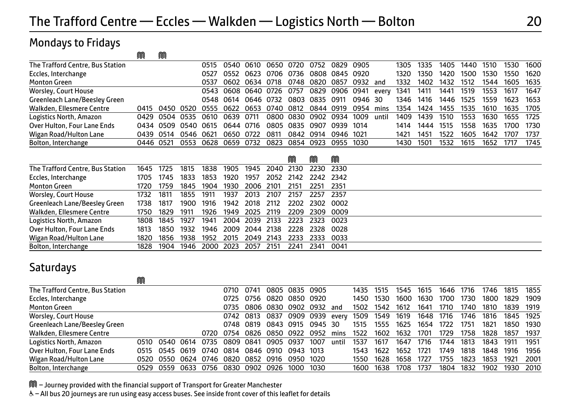# Mondays to Fridays

|                                  | שע   | שע   |      |      |      |      |      |      |      |      |           |       |      |      |      |      |      |      |      |
|----------------------------------|------|------|------|------|------|------|------|------|------|------|-----------|-------|------|------|------|------|------|------|------|
| The Trafford Centre, Bus Station |      |      |      | 0515 | 0540 | 0610 | 0650 | 0720 | 0752 | 0829 | 0905      |       | 1305 | 1335 | 1405 | 1440 | 1510 | 1530 | 1600 |
| Eccles, Interchange              |      |      |      | 0527 | 0552 | 0623 | 0706 | 0736 | 0808 | 0845 | 0920      |       | 1320 | 1350 | 1420 | 1500 | 1530 | 1550 | 1620 |
| <b>Monton Green</b>              |      |      |      | 0537 | 0602 | 0634 | 0718 | 0748 | 0820 | 0857 | 0932      | and   | 1332 | 1402 | 1432 | 1512 | 1544 | 1605 | 1635 |
| Worsley, Court House             |      |      |      | 0543 | 0608 | 0640 | 0726 | 0757 | 0829 |      | 0906 0941 | every | 1341 | 1411 | 1441 | 1519 | 1553 | 1617 | 1647 |
| Greenleach Lane/Beesley Green    |      |      |      | 0548 | 0614 | 0646 | 0732 | 0803 | 0835 | 0911 | 0946 30   |       | 1346 | 1416 | 1446 | 1525 | 1559 | 1623 | 1653 |
| Walkden, Ellesmere Centre        | 0415 | 0450 | 0520 | 0555 | 0622 | 0653 | 0740 | 0812 | 0844 | 0919 | 0954      | mins  | 1354 | 1424 | 1455 | 1535 | 1610 | 1635 | 1705 |
| Logistics North, Amazon          | 0429 | 0504 | 0535 | 0610 | 0639 | 0711 | 0800 | 0830 | 0902 | 0934 | 1009      | until | 1409 | 1439 | 1510 | 1553 | 1630 | 1655 | 1725 |
| Over Hulton, Four Lane Ends      | 0434 | 0509 | 0540 | 0615 | 0644 | 0716 | 0805 | 0835 | 0907 | 0939 | 1014      |       | 1414 | 1444 | 1515 | 1558 | 1635 | 1700 | 1730 |
| Wigan Road/Hulton Lane           | 0439 | 0514 | 0546 | 0621 | 0650 | 0722 | 0811 | 0842 | 0914 | 0946 | 1021      |       | 1421 | 1451 | 1522 | 1605 | 1642 | 1707 | 1737 |
| Bolton, Interchange              | 0446 | 0521 | 0553 | 0628 | 0659 | 0732 | 0823 | 0854 | 0923 | 0955 | 1030      |       | 1430 | 1501 | 1532 | 1615 | 1652 | 1717 | 1745 |
|                                  |      |      |      |      |      |      |      |      |      |      |           |       |      |      |      |      |      |      |      |
|                                  |      |      |      |      |      |      |      | M    | M    | M    |           |       |      |      |      |      |      |      |      |
| The Trafford Centre, Bus Station | 1645 | 1725 | 1815 | 1838 | 1905 | 1945 | 2040 | 2130 | 2230 | 2330 |           |       |      |      |      |      |      |      |      |
| Eccles, Interchange              | 1705 | 1745 | 1833 | 1853 | 1920 | 1957 | 2052 | 2142 | 2242 | 2342 |           |       |      |      |      |      |      |      |      |
| <b>Monton Green</b>              | 1720 | 1759 | 1845 | 1904 | 1930 | 2006 | 2101 | 2151 | 2251 | 2351 |           |       |      |      |      |      |      |      |      |
| Worsley, Court House             | 1732 | 1811 | 1855 | 1911 | 1937 | 2013 | 2107 | 2157 | 2257 | 2357 |           |       |      |      |      |      |      |      |      |
| Greenleach Lane/Beesley Green    | 1738 | 1817 | 1900 | 1916 | 1942 | 2018 | 2112 | 2202 | 2302 | 0002 |           |       |      |      |      |      |      |      |      |
| Walkden, Ellesmere Centre        | 1750 | 1829 | 1911 | 1926 | 1949 | 2025 | 2119 | 2209 | 2309 | 0009 |           |       |      |      |      |      |      |      |      |
| Logistics North, Amazon          | 1808 | 1845 | 1927 | 1941 | 2004 | 2039 | 2133 | 2223 | 2323 | 0023 |           |       |      |      |      |      |      |      |      |
| Over Hulton, Four Lane Ends      | 1813 | 1850 | 1932 | 1946 | 2009 | 2044 | 2138 | 2228 | 2328 | 0028 |           |       |      |      |      |      |      |      |      |
| Wigan Road/Hulton Lane           | 1820 | 1856 | 1938 | 1952 | 2015 | 2049 | 2143 | 2233 | 2333 | 0033 |           |       |      |      |      |      |      |      |      |
| Bolton, Interchange              | 1828 | 1904 | 1946 | 2000 | 2023 | 2057 | 2151 | 2241 | 2341 | 0041 |           |       |      |      |      |      |      |      |      |

# Saturdays

|                                  | M    |                |           |      |       |           |           |                |         |                 |      |      |      |      |      |      |      |      |      |
|----------------------------------|------|----------------|-----------|------|-------|-----------|-----------|----------------|---------|-----------------|------|------|------|------|------|------|------|------|------|
| The Trafford Centre, Bus Station |      |                |           |      | 0710. | 0741      |           | 0805 0835 0905 |         |                 | 1435 | 1515 | 1545 | 1615 | 1646 | 1716 | 1746 | 1815 | 1855 |
| Eccles, Interchange              |      |                |           |      | 0725  | 0756      | 0820      | 0850 0920      |         |                 | 1450 | 1530 | 1600 | 1630 | 1700 | 1730 | 1800 | 1829 | 1909 |
| <b>Monton Green</b>              |      |                |           |      | 0735  |           | 0806 0830 | 0902 0932 and  |         |                 | 1502 | 1542 | 1612 | 1641 | 1710 | 1740 | 1810 | 1839 | 1919 |
| <b>Worsley, Court House</b>      |      |                |           |      |       | 0742 0813 | 0837      |                |         | 0909 0939 every | 1509 | 1549 | 1619 | 1648 | 1716 | 1746 | 1816 | 1845 | 1925 |
| Greenleach Lane/Beesley Green    |      |                |           |      |       | 0748 0819 |           | 0843 0915      | 0945 30 |                 | 1515 | 1555 | 1625 | 1654 | 1722 | 1751 | 1821 | 1850 | 1930 |
| Walkden, Ellesmere Centre        |      |                |           | 0720 | 0754  | 0826      |           | 0850 0922 0952 |         | mins            | 1522 | 1602 | 1632 | 1701 | 1729 | 1758 | 1828 | 1857 | 1937 |
| Logistics North, Amazon          |      | 0510 0540 0614 |           | 0735 |       | 0809 0841 | 0905 0937 |                | 1007    | until           | 1537 | 1617 | 1647 | 1716 | 1744 | 1813 | 1843 | 1911 | 1951 |
| Over Hulton, Four Lane Ends      | 0515 | 0545 0619      |           | 0740 | 0814  |           | 0846 0910 | 0943 1013      |         |                 | 1543 | 1622 | 1652 | 1721 | 1749 | 1818 | 1848 | 1916 | 1956 |
| Wigan Road/Hulton Lane           |      | 0520 0550      | 0624 0746 |      | 0820  | 0852      | 0916      | 0950 1020      |         |                 | 1550 | 1628 | 1658 | 1727 | 1755 | 1823 | 1853 | 1921 | 2001 |
| Bolton, Interchange              |      | 0529 0559 0633 |           | 0756 | 0830  | 0902      | 0926      | 1000           | 1030    |                 | 1600 | 1638 | 1708 | 1737 | 1804 | 1832 | 1902 | 1930 | 2010 |

M – Journey provided with the financial support of Transport for Greater Manchester

ണം<br>അ

& - All bus 20 journeys are run using easy access buses. See inside front cover of this leaflet for details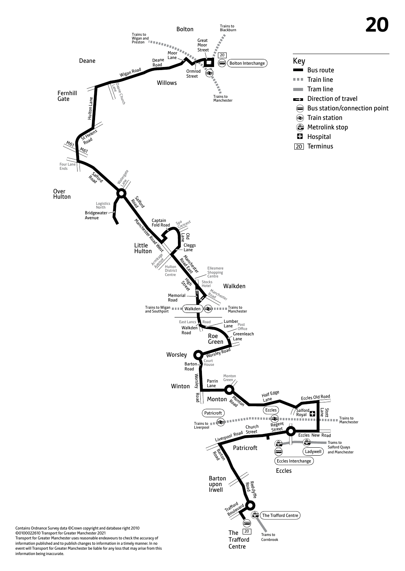

information being inaccurate.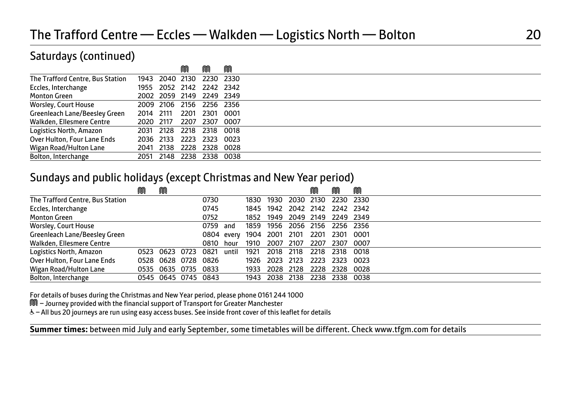### Saturdays (continued)

|                                  |           |           | M         | M                        | M    |  |
|----------------------------------|-----------|-----------|-----------|--------------------------|------|--|
| The Trafford Centre, Bus Station |           |           |           | 1943 2040 2130 2230 2330 |      |  |
| Eccles, Interchange              |           |           |           | 1955 2052 2142 2242 2342 |      |  |
| Monton Green                     |           |           |           | 2002 2059 2149 2249 2349 |      |  |
| <b>Worsley, Court House</b>      |           |           |           | 2009 2106 2156 2256 2356 |      |  |
| Greenleach Lane/Beesley Green    | 2014 2111 |           | 2201 2301 |                          | 0001 |  |
| Walkden, Ellesmere Centre        | 2020 2117 |           |           | 2207 2307                | 0007 |  |
| Logistics North, Amazon          |           | 2031 2128 |           | 2218 2318 0018           |      |  |
| Over Hulton, Four Lane Ends      |           |           |           | 2036 2133 2223 2323 0023 |      |  |
| Wigan Road/Hulton Lane           |           | 2041 2138 | 2228      | 2328                     | 0028 |  |
| Bolton, Interchange              |           |           |           | 2051 2148 2238 2338 0038 |      |  |

### Sundays and public holidays (except Christmas and New Year period)

|                                  | M | M                   |      |            |      |                |           | M         | M    | M                        |
|----------------------------------|---|---------------------|------|------------|------|----------------|-----------|-----------|------|--------------------------|
| The Trafford Centre, Bus Station |   |                     | 0730 |            | 1830 | 1930           |           | 2030 2130 | 2230 | 2330                     |
| Eccles, Interchange              |   |                     | 0745 |            | 1845 |                |           |           |      | 1942 2042 2142 2242 2342 |
| <b>Monton Green</b>              |   |                     | 0752 |            | 1852 |                |           |           |      | 1949 2049 2149 2249 2349 |
| <b>Worsley, Court House</b>      |   |                     | 0759 | and        | 1859 | 1956           |           |           |      | 2056 2156 2256 2356      |
| Greenleach Lane/Beesley Green    |   |                     |      | 0804 every | 1904 | 2001           | 2101      | 2201      |      | 2301 0001                |
| Walkden, Ellesmere Centre        |   |                     | 0810 | hour       | 1910 | 2007           | 2107      | 2207      | 2307 | 0007                     |
| Logistics North, Amazon          |   | 0523 0623 0723 0821 |      | until      | 1921 | 2018           | 2118      | 2218      | 2318 | 0018                     |
| Over Hulton, Four Lane Ends      |   | 0528 0628 0728 0826 |      |            | 1926 | 2023           | 2123      | 2223      | 2323 | 0023                     |
| Wigan Road/Hulton Lane           |   | 0535 0635 0735 0833 |      |            | 1933 |                | 2028 2128 | 2228      |      | 2328 0028                |
| Bolton, Interchange              |   | 0545 0645 0745 0843 |      |            |      | 1943 2038 2138 |           |           |      | 2238 2338 0038           |
|                                  |   |                     |      |            |      |                |           |           |      |                          |

For details of buses during the Christmas and New Year period, please phone 0161 244 1000

M – Journey provided with the financial support of Transport for Greater Manchester

W– All bus 20 journeys are run using easy access buses. See inside front cover of this leaflet for details

**Summer times:** between mid July and early September, some timetables will be different. Check www.tfgm.com for details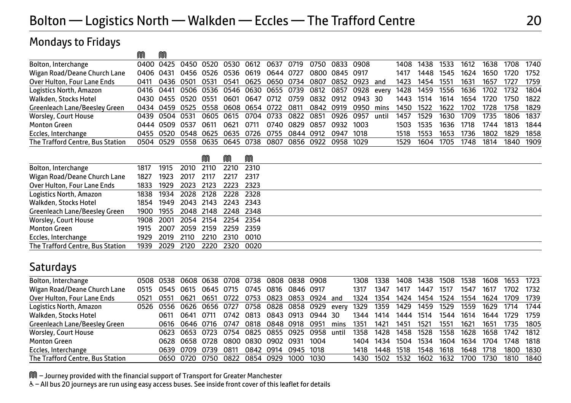$\sim$ 

# Mondays to Fridays

|                                  |      | ywu |                                    |      |                |                                                              |      |                          |                |       |      |      |      |                     |      |                |      |
|----------------------------------|------|-----|------------------------------------|------|----------------|--------------------------------------------------------------|------|--------------------------|----------------|-------|------|------|------|---------------------|------|----------------|------|
| Bolton, Interchange              |      |     | 0400 0425 0450 0520 0530 0612 0637 |      |                |                                                              | 0719 | 0750 0833 0908           |                |       | 1408 | 1438 | 1533 | 1612                | 1638 | 1708 1740      |      |
| Wigan Road/Deane Church Lane     |      |     |                                    |      |                | 0406 0431 0456 0526 0536 0619 0644 0727                      |      |                          | 0800 0845 0917 |       | 1417 | 1448 | 1545 | 1624                | 1650 | 1720           | 1752 |
| Over Hulton, Four Lane Ends      | 0411 |     | 0436 0501 0531                     |      |                | 0541 0625 0650 0734                                          |      | 0807 0852 0923           |                | and   | 1423 | 1454 | 1551 | 1631                | 1657 | 1727           | 1759 |
| Logistics North, Amazon          |      |     |                                    |      |                | 0416 0441 0506 0536 0546 0630 0655 0739 0812 0857 0928 every |      |                          |                |       |      |      |      | 1428 1459 1556 1636 |      | 1702 1732 1804 |      |
| Walkden, Stocks Hotel            |      |     | 0430 0455 0520 0551                |      | 0601 0647 0712 |                                                              |      | 0759 0832 0912 0943 30   |                |       | 1443 | 1514 | 1614 | 1654                | 1720 | 1750           | 1822 |
| Greenleach Lane/Beesley Green    |      |     | 0434 0459 0525 0558 0608 0654 0722 |      |                |                                                              | 0811 | 0842 0919 0950 mins      |                |       | 1450 | 1522 | 1622 | 1702                | 1728 | 1758 1829      |      |
| <b>Worsley, Court House</b>      |      |     | 0439 0504 0531 0605 0615 0704 0733 |      |                |                                                              |      | 0822 0851                | 0926 0957      | until | 1457 | 1529 | 1630 | 1709                | 1735 | 1806           | 1837 |
| <b>Monton Green</b>              |      |     | 0444 0509 0537                     | 0611 | 0621 0711      |                                                              |      | 0740 0829 0857 0932 1003 |                |       | 1503 | 1535 | 1636 | 1718                | 1744 | 1813           | 1844 |
| Eccles, Interchange              |      |     |                                    |      |                | 0455 0520 0548 0625 0635 0726 0755 0844 0912 0947 1018       |      |                          |                |       | 1518 | 1553 | 1653 | 1736                | 1802 | 1829           | 1858 |
| The Trafford Centre, Bus Station |      |     | 0504 0529 0558 0635 0645 0738      |      |                | 0807                                                         |      | 0856 0922 0958 1029      |                |       | 1529 | 1604 | 1705 | 1748                | 1814 | 1840           | 1909 |

|                                  |      |           |                               | M    | M    | M    |  |
|----------------------------------|------|-----------|-------------------------------|------|------|------|--|
| Bolton, Interchange              | 1817 | 1915      | 2010 2110                     |      | 2210 | 2310 |  |
| Wigan Road/Deane Church Lane     | 1827 | 1923      | 2017                          | 2117 | 2217 | 2317 |  |
| Over Hulton, Four Lane Ends      | 1833 | 1929      | 2023 2123 2223 2323           |      |      |      |  |
| Logistics North, Amazon          |      |           | 1838 1934 2028 2128 2228 2328 |      |      |      |  |
| Walkden, Stocks Hotel            |      |           | 1854 1949 2043 2143 2243 2343 |      |      |      |  |
| Greenleach Lane/Beesley Green    |      |           | 1900 1955 2048 2148 2248 2348 |      |      |      |  |
| Worsley, Court House             |      | 1908 2001 | 2054 2154 2254 2354           |      |      |      |  |
| <b>Monton Green</b>              | 1915 |           | 2007 2059 2159 2259 2359      |      |      |      |  |
| Eccles, Interchange              | 1929 | 2019      | 2110                          | 2210 | 2310 | 0010 |  |
| The Trafford Centre, Bus Station |      |           | 1939 2029 2120 2220 2320 0020 |      |      |      |  |

### **Saturdays**

| Bolton, Interchange              |      |      | 0508 0538 0608 0638 0708 0738                      |      |           |           |                | 0808 0838 0908 |                      |      | 1308  | 1338 | 1408 | 1438 | 1508 | 1538 | 1608 | 1653      | 1723 |
|----------------------------------|------|------|----------------------------------------------------|------|-----------|-----------|----------------|----------------|----------------------|------|-------|------|------|------|------|------|------|-----------|------|
| Wigan Road/Deane Church Lane     | 0515 |      | 0545 0615                                          |      | 0645 0715 | 0745      | 0816           | 0846 0917      |                      |      | 1317  | 1347 | 1417 | 1447 | 1517 | 1547 | 1617 | 1702      | 1732 |
| Over Hulton, Four Lane Ends      | 0521 | 0551 | 0621                                               | 0651 | 0722      | 0753      | 0823           |                | 0853 0924 and        |      | 1324  | 1354 | 1424 | 1454 | 1524 | 1554 | 1624 | 1709      | 1739 |
| Logistics North, Amazon          |      |      | 0526 0556 0626 0656 0727 0758 0828 0858 0929 every |      |           |           |                |                |                      |      | 1329  | 1359 | 1429 | 1459 | 1529 | 1559 | 1629 | 1714 1744 |      |
| Walkden, Stocks Hotel            |      | 0611 | 0641 0711                                          |      |           | 0742 0813 |                | 0843 0913      | 0944 30              |      | 1344  | 1414 | 1444 | 1514 | 1544 | 1614 | 1644 | 1729      | 1759 |
| Greenleach Lane/Beeslev Green    |      |      | 0616 0646 0716 0747 0818 0848 0918 0951            |      |           |           |                |                |                      | mins | 1351  | 1421 | 1451 | 1521 | 1551 | 1621 | 1651 | 1735      | 1805 |
| Worsley, Court House             |      |      | 0623 0653 0723                                     |      |           | 0754 0825 |                |                | 0855 0925 0958 until |      | 1358  | 1428 | 1458 | 1528 | 1558 | 1628 | 1658 | 1742      | 1812 |
| <b>Monton Green</b>              |      |      | 0628 0658 0728                                     |      |           |           | 0800 0830 0902 | 0931           | 1004                 |      | 1404  | 1434 | 1504 | 1534 | 1604 | 1634 | 1704 | 1748      | 1818 |
| Eccles, Interchange              |      |      | 0639 0709                                          | 0739 | 0811      | 0842      | 0914           | 0945           | 1018                 |      | 1418  | 1448 | 1518 | 1548 | 1618 | 1648 | 1718 | 1800      | 1830 |
| The Trafford Centre, Bus Station |      |      | 0650 0720                                          | 0750 | 0822      | 0854      | 0929           | 1000           | 1030                 |      | 1430. | 1502 | 1532 | 1602 | 1632 | 1700 | 1730 | 1810      | 1840 |
|                                  |      |      |                                                    |      |           |           |                |                |                      |      |       |      |      |      |      |      |      |           |      |

M – Journey provided with the financial support of Transport for Greater Manchester

& - All bus 20 journeys are run using easy access buses. See inside front cover of this leaflet for details